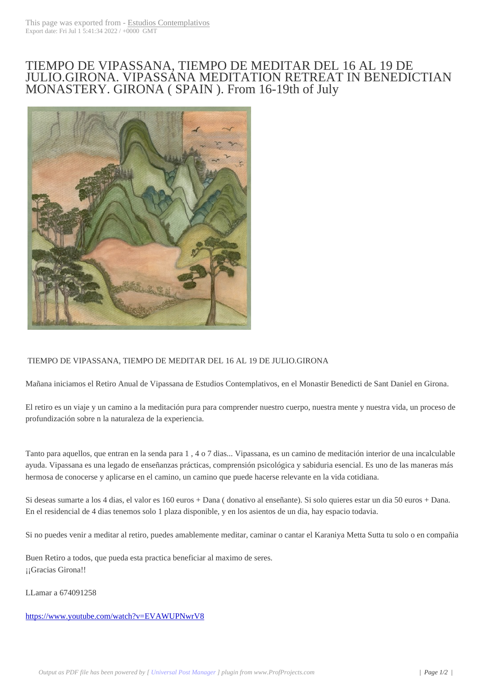## TIEMPO DE VIP[ASSANA, TIEM](http://www.estudioscontemplativos.com/?p=2405)PO DE MEDITAR DEL 16 AL 19 DE JULIO.GIRONA. VIPASSANA MEDITATION RETREAT IN BENEDICTIAN MONASTERY. GIRONA ( SPAIN ). From 16-19th of July



## TIEMPO DE VIPASSANA, TIEMPO DE MEDITAR DEL 16 AL 19 DE JULIO.GIRONA

Mañana iniciamos el Retiro Anual de Vipassana de Estudios Contemplativos, en el Monastir Benedicti de Sant Daniel en Girona.

El retiro es un viaje y un camino a la meditación pura para comprender nuestro cuerpo, nuestra mente y nuestra vida, un proceso de profundización sobre n la naturaleza de la experiencia.

Tanto para aquellos, que entran en la senda para 1 , 4 o 7 dias... Vipassana, es un camino de meditación interior de una incalculable ayuda. Vipassana es una legado de enseñanzas prácticas, comprensión psicológica y sabiduria esencial. Es uno de las maneras más hermosa de conocerse y aplicarse en el camino, un camino que puede hacerse relevante en la vida cotidiana.

Si deseas sumarte a los 4 dias, el valor es 160 euros + Dana ( donativo al enseñante). Si solo quieres estar un dia 50 euros + Dana. En el residencial de 4 dias tenemos solo 1 plaza disponible, y en los asientos de un dia, hay espacio todavia.

Si no puedes venir a meditar al retiro, puedes amablemente meditar, caminar o cantar el Karaniya Metta Sutta tu solo o en compañia

Buen Retiro a todos, que pueda esta practica beneficiar al maximo de seres. ¡¡Gracias Girona!!

LLamar a 674091258

## https://www.youtube.com/watch?v=EVAWUPNwrV8